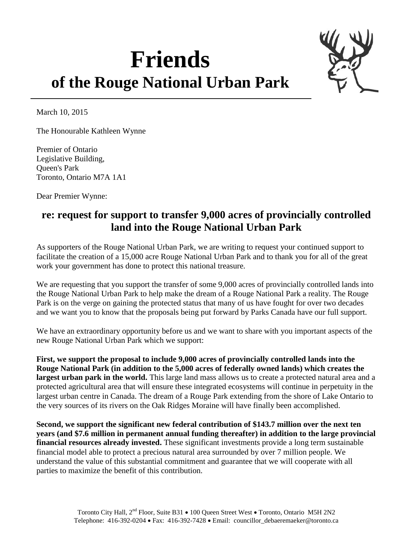## **Friends of the Rouge National Urban Park**



March 10, 2015

The Honourable Kathleen Wynne

Premier of Ontario Legislative Building, Queen's Park Toronto, Ontario M7A 1A1

Dear Premier Wynne:

## **re: request for support to transfer 9,000 acres of provincially controlled land into the Rouge National Urban Park**

As supporters of the Rouge National Urban Park, we are writing to request your continued support to facilitate the creation of a 15,000 acre Rouge National Urban Park and to thank you for all of the great work your government has done to protect this national treasure.

We are requesting that you support the transfer of some 9,000 acres of provincially controlled lands into the Rouge National Urban Park to help make the dream of a Rouge National Park a reality. The Rouge Park is on the verge on gaining the protected status that many of us have fought for over two decades and we want you to know that the proposals being put forward by Parks Canada have our full support.

We have an extraordinary opportunity before us and we want to share with you important aspects of the new Rouge National Urban Park which we support:

**First, we support the proposal to include 9,000 acres of provincially controlled lands into the Rouge National Park (in addition to the 5,000 acres of federally owned lands) which creates the largest urban park in the world.** This large land mass allows us to create a protected natural area and a protected agricultural area that will ensure these integrated ecosystems will continue in perpetuity in the largest urban centre in Canada. The dream of a Rouge Park extending from the shore of Lake Ontario to the very sources of its rivers on the Oak Ridges Moraine will have finally been accomplished.

**Second, we support the significant new federal contribution of \$143.7 million over the next ten years (and \$7.6 million in permanent annual funding thereafter) in addition to the large provincial financial resources already invested.** These significant investments provide a long term sustainable financial model able to protect a precious natural area surrounded by over 7 million people. We understand the value of this substantial commitment and guarantee that we will cooperate with all parties to maximize the benefit of this contribution.